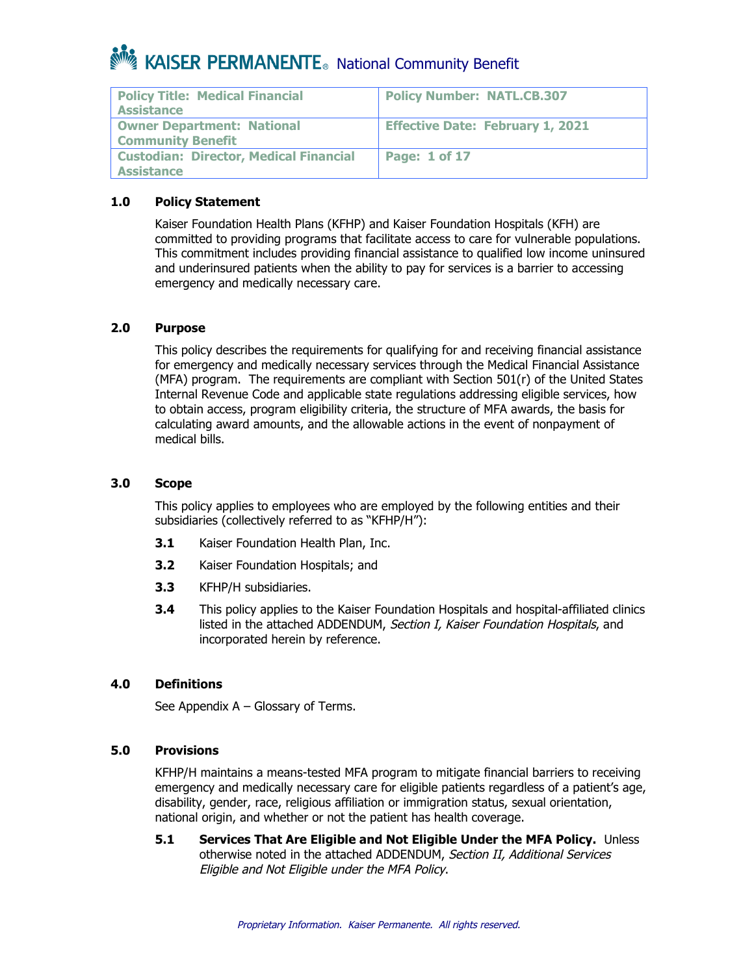| <b>Policy Title: Medical Financial</b><br><b>Assistance</b>        | <b>Policy Number: NATL.CB.307</b>       |
|--------------------------------------------------------------------|-----------------------------------------|
| <b>Owner Department: National</b><br><b>Community Benefit</b>      | <b>Effective Date: February 1, 2021</b> |
| <b>Custodian: Director, Medical Financial</b><br><b>Assistance</b> | <b>Page: 1 of 17</b>                    |

### **1.0 Policy Statement**

Kaiser Foundation Health Plans (KFHP) and Kaiser Foundation Hospitals (KFH) are committed to providing programs that facilitate access to care for vulnerable populations. This commitment includes providing financial assistance to qualified low income uninsured and underinsured patients when the ability to pay for services is a barrier to accessing emergency and medically necessary care.

#### **2.0 Purpose**

This policy describes the requirements for qualifying for and receiving financial assistance for emergency and medically necessary services through the Medical Financial Assistance (MFA) program. The requirements are compliant with Section 501(r) of the United States Internal Revenue Code and applicable state regulations addressing eligible services, how to obtain access, program eligibility criteria, the structure of MFA awards, the basis for calculating award amounts, and the allowable actions in the event of nonpayment of medical bills.

#### **3.0 Scope**

This policy applies to employees who are employed by the following entities and their subsidiaries (collectively referred to as "KFHP/H"):

- **3.1** Kaiser Foundation Health Plan, Inc.
- **3.2** Kaiser Foundation Hospitals; and
- **3.3** KFHP/H subsidiaries.
- **3.4** This policy applies to the Kaiser Foundation Hospitals and hospital-affiliated clinics listed in the attached ADDENDUM, Section I, Kaiser Foundation Hospitals, and incorporated herein by reference.

#### **4.0 Definitions**

See Appendix A – Glossary of Terms.

#### **5.0 Provisions**

KFHP/H maintains a means-tested MFA program to mitigate financial barriers to receiving emergency and medically necessary care for eligible patients regardless of a patient's age, disability, gender, race, religious affiliation or immigration status, sexual orientation, national origin, and whether or not the patient has health coverage.

**5.1 Services That Are Eligible and Not Eligible Under the MFA Policy.** Unless otherwise noted in the attached ADDENDUM, Section II, Additional Services Eligible and Not Eligible under the MFA Policy.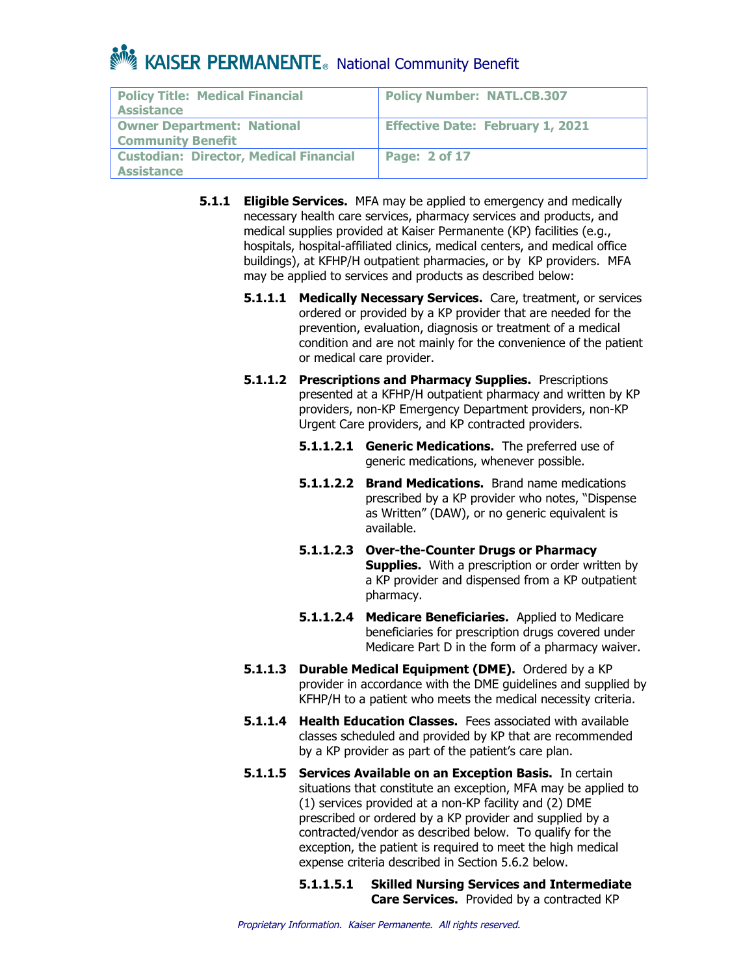| <b>Policy Title: Medical Financial</b><br><b>Assistance</b>   | <b>Policy Number: NATL.CB.307</b>       |
|---------------------------------------------------------------|-----------------------------------------|
| <b>Owner Department: National</b><br><b>Community Benefit</b> | <b>Effective Date: February 1, 2021</b> |
| <b>Custodian: Director, Medical Financial</b><br>Assistance   | Page: 2 of 17                           |

- **5.1.1 Eligible Services.** MFA may be applied to emergency and medically necessary health care services, pharmacy services and products, and medical supplies provided at Kaiser Permanente (KP) facilities (e.g., hospitals, hospital-affiliated clinics, medical centers, and medical office buildings), at KFHP/H outpatient pharmacies, or by KP providers. MFA may be applied to services and products as described below:
	- **5.1.1.1 Medically Necessary Services.** Care, treatment, or services ordered or provided by a KP provider that are needed for the prevention, evaluation, diagnosis or treatment of a medical condition and are not mainly for the convenience of the patient or medical care provider.
	- **5.1.1.2 Prescriptions and Pharmacy Supplies.** Prescriptions presented at a KFHP/H outpatient pharmacy and written by KP providers, non-KP Emergency Department providers, non-KP Urgent Care providers, and KP contracted providers.
		- **5.1.1.2.1 Generic Medications.** The preferred use of generic medications, whenever possible.
		- **5.1.1.2.2 Brand Medications.** Brand name medications prescribed by a KP provider who notes, "Dispense as Written" (DAW), or no generic equivalent is available.
		- **5.1.1.2.3 Over-the-Counter Drugs or Pharmacy Supplies.** With a prescription or order written by a KP provider and dispensed from a KP outpatient pharmacy.
		- **5.1.1.2.4 Medicare Beneficiaries.** Applied to Medicare beneficiaries for prescription drugs covered under Medicare Part D in the form of a pharmacy waiver.
	- **5.1.1.3 Durable Medical Equipment (DME).** Ordered by a KP provider in accordance with the DME guidelines and supplied by KFHP/H to a patient who meets the medical necessity criteria.
	- **5.1.1.4 Health Education Classes.** Fees associated with available classes scheduled and provided by KP that are recommended by a KP provider as part of the patient's care plan.
	- **5.1.1.5 Services Available on an Exception Basis.** In certain situations that constitute an exception, MFA may be applied to (1) services provided at a non-KP facility and (2) DME prescribed or ordered by a KP provider and supplied by a contracted/vendor as described below. To qualify for the exception, the patient is required to meet the high medical expense criteria described in Section 5.6.2 below.

**5.1.1.5.1 Skilled Nursing Services and Intermediate Care Services.** Provided by a contracted KP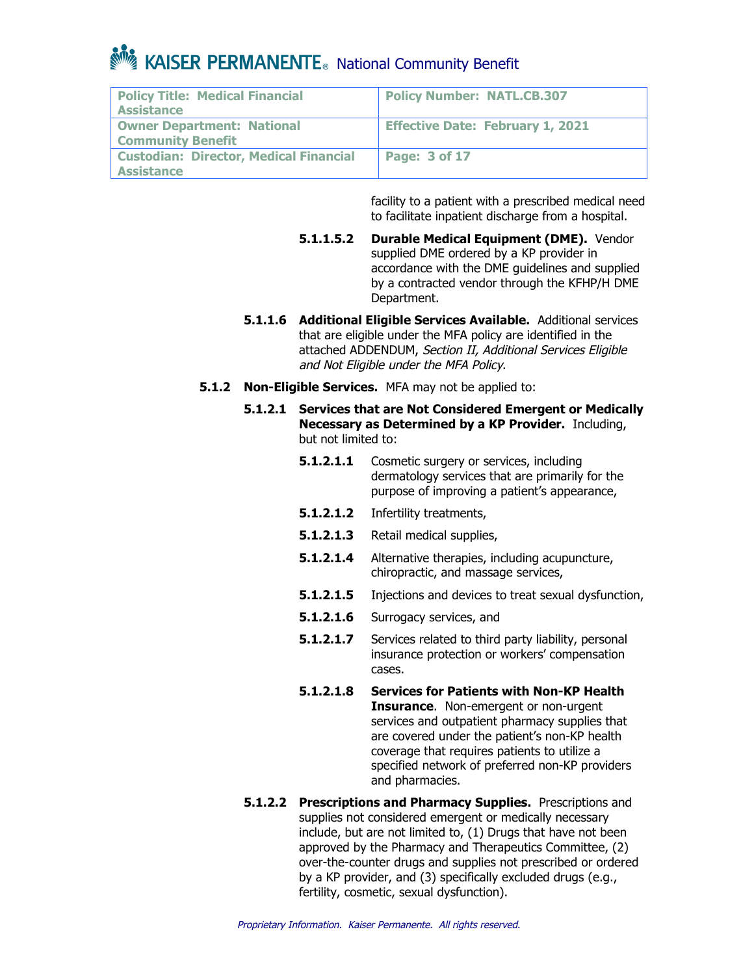### **Note Allian Community Benefit** Community Benefit

| <b>Policy Title: Medical Financial</b><br><b>Assistance</b>        | <b>Policy Number: NATL.CB.307</b>       |
|--------------------------------------------------------------------|-----------------------------------------|
| <b>Owner Department: National</b><br><b>Community Benefit</b>      | <b>Effective Date: February 1, 2021</b> |
| <b>Custodian: Director, Medical Financial</b><br><b>Assistance</b> | <b>Page: 3 of 17</b>                    |

facility to a patient with a prescribed medical need to facilitate inpatient discharge from a hospital.

- **5.1.1.5.2 Durable Medical Equipment (DME).** Vendor supplied DME ordered by a KP provider in accordance with the DME guidelines and supplied by a contracted vendor through the KFHP/H DME Department.
- **5.1.1.6 Additional Eligible Services Available.** Additional services that are eligible under the MFA policy are identified in the attached ADDENDUM, Section II, Additional Services Eligible and Not Eligible under the MFA Policy.
- **5.1.2 Non-Eligible Services.** MFA may not be applied to:
	- **5.1.2.1 Services that are Not Considered Emergent or Medically Necessary as Determined by a KP Provider.** Including, but not limited to:
		- **5.1.2.1.1** Cosmetic surgery or services, including dermatology services that are primarily for the purpose of improving a patient's appearance,
		- **5.1.2.1.2** Infertility treatments,
		- **5.1.2.1.3** Retail medical supplies,
		- **5.1.2.1.4** Alternative therapies, including acupuncture, chiropractic, and massage services,
		- **5.1.2.1.5** Injections and devices to treat sexual dysfunction,
		- **5.1.2.1.6** Surrogacy services, and
		- **5.1.2.1.7** Services related to third party liability, personal insurance protection or workers' compensation cases.
		- **5.1.2.1.8 Services for Patients with Non-KP Health Insurance**. Non-emergent or non-urgent services and outpatient pharmacy supplies that are covered under the patient's non-KP health coverage that requires patients to utilize a specified network of preferred non-KP providers and pharmacies.
	- **5.1.2.2 Prescriptions and Pharmacy Supplies.** Prescriptions and supplies not considered emergent or medically necessary include, but are not limited to, (1) Drugs that have not been approved by the Pharmacy and Therapeutics Committee, (2) over-the-counter drugs and supplies not prescribed or ordered by a KP provider, and (3) specifically excluded drugs (e.g., fertility, cosmetic, sexual dysfunction).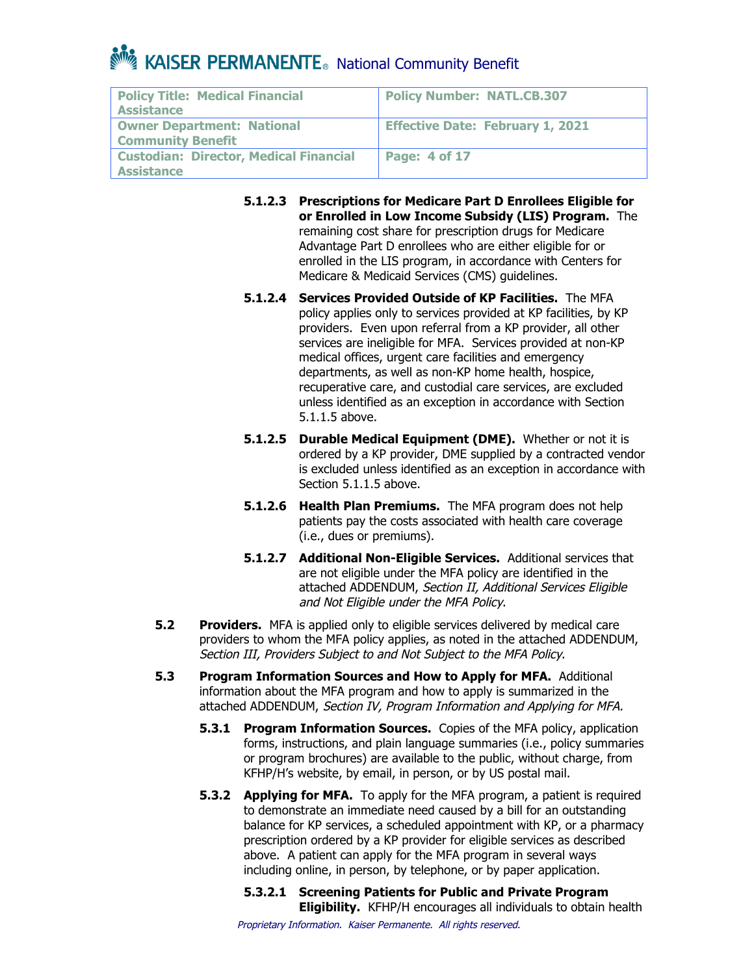| <b>Policy Title: Medical Financial</b><br><b>Assistance</b>        | <b>Policy Number: NATL.CB.307</b>       |
|--------------------------------------------------------------------|-----------------------------------------|
| <b>Owner Department: National</b><br><b>Community Benefit</b>      | <b>Effective Date: February 1, 2021</b> |
| <b>Custodian: Director, Medical Financial</b><br><b>Assistance</b> | Page: 4 of 17                           |

- **5.1.2.3 Prescriptions for Medicare Part D Enrollees Eligible for or Enrolled in Low Income Subsidy (LIS) Program.** The remaining cost share for prescription drugs for Medicare Advantage Part D enrollees who are either eligible for or enrolled in the LIS program, in accordance with Centers for Medicare & Medicaid Services (CMS) guidelines.
- **5.1.2.4 Services Provided Outside of KP Facilities.** The MFA policy applies only to services provided at KP facilities, by KP providers. Even upon referral from a KP provider, all other services are ineligible for MFA. Services provided at non-KP medical offices, urgent care facilities and emergency departments, as well as non-KP home health, hospice, recuperative care, and custodial care services, are excluded unless identified as an exception in accordance with Section 5.1.1.5 above.
- **5.1.2.5 Durable Medical Equipment (DME).** Whether or not it is ordered by a KP provider, DME supplied by a contracted vendor is excluded unless identified as an exception in accordance with Section 5.1.1.5 above.
- **5.1.2.6 Health Plan Premiums.** The MFA program does not help patients pay the costs associated with health care coverage (i.e., dues or premiums).
- **5.1.2.7 Additional Non-Eligible Services.** Additional services that are not eligible under the MFA policy are identified in the attached ADDENDUM, Section II, Additional Services Eligible and Not Eligible under the MFA Policy.
- **5.2 Providers.** MFA is applied only to eligible services delivered by medical care providers to whom the MFA policy applies, as noted in the attached ADDENDUM, Section III, Providers Subject to and Not Subject to the MFA Policy.
- **5.3 Program Information Sources and How to Apply for MFA.** Additional information about the MFA program and how to apply is summarized in the attached ADDENDUM, Section IV, Program Information and Applying for MFA.
	- **5.3.1 Program Information Sources.** Copies of the MFA policy, application forms, instructions, and plain language summaries (i.e., policy summaries or program brochures) are available to the public, without charge, from KFHP/H's website, by email, in person, or by US postal mail.
	- **5.3.2 Applying for MFA.** To apply for the MFA program, a patient is required to demonstrate an immediate need caused by a bill for an outstanding balance for KP services, a scheduled appointment with KP, or a pharmacy prescription ordered by a KP provider for eligible services as described above. A patient can apply for the MFA program in several ways including online, in person, by telephone, or by paper application.
		- **5.3.2.1 Screening Patients for Public and Private Program Eligibility.** KFHP/H encourages all individuals to obtain health

Proprietary Information. Kaiser Permanente. All rights reserved.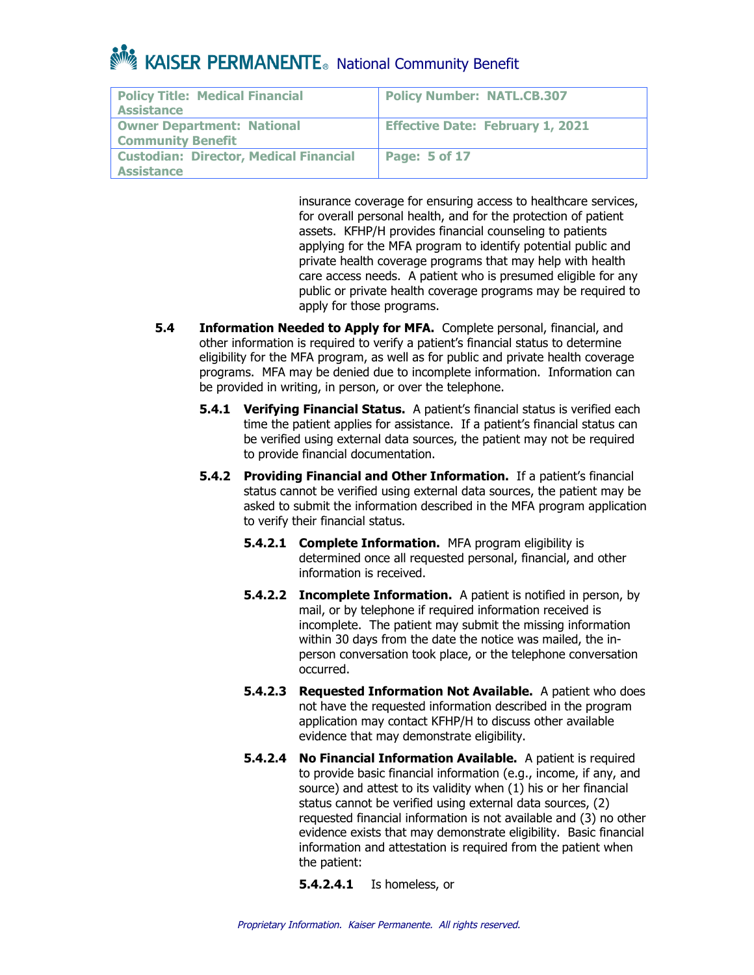| <b>Policy Title: Medical Financial</b><br><b>Assistance</b>        | <b>Policy Number: NATL.CB.307</b>       |
|--------------------------------------------------------------------|-----------------------------------------|
| <b>Owner Department: National</b><br><b>Community Benefit</b>      | <b>Effective Date: February 1, 2021</b> |
| <b>Custodian: Director, Medical Financial</b><br><b>Assistance</b> | Page: 5 of 17                           |

insurance coverage for ensuring access to healthcare services, for overall personal health, and for the protection of patient assets. KFHP/H provides financial counseling to patients applying for the MFA program to identify potential public and private health coverage programs that may help with health care access needs. A patient who is presumed eligible for any public or private health coverage programs may be required to apply for those programs.

- **5.4 Information Needed to Apply for MFA.** Complete personal, financial, and other information is required to verify a patient's financial status to determine eligibility for the MFA program, as well as for public and private health coverage programs. MFA may be denied due to incomplete information. Information can be provided in writing, in person, or over the telephone.
	- **5.4.1 Verifying Financial Status.** A patient's financial status is verified each time the patient applies for assistance. If a patient's financial status can be verified using external data sources, the patient may not be required to provide financial documentation.
	- **5.4.2 Providing Financial and Other Information.** If a patient's financial status cannot be verified using external data sources, the patient may be asked to submit the information described in the MFA program application to verify their financial status.
		- **5.4.2.1 Complete Information.** MFA program eligibility is determined once all requested personal, financial, and other information is received.
		- **5.4.2.2 Incomplete Information.** A patient is notified in person, by mail, or by telephone if required information received is incomplete. The patient may submit the missing information within 30 days from the date the notice was mailed, the inperson conversation took place, or the telephone conversation occurred.
		- **5.4.2.3 Requested Information Not Available.** A patient who does not have the requested information described in the program application may contact KFHP/H to discuss other available evidence that may demonstrate eligibility.
		- **5.4.2.4 No Financial Information Available.** A patient is required to provide basic financial information (e.g., income, if any, and source) and attest to its validity when (1) his or her financial status cannot be verified using external data sources, (2) requested financial information is not available and (3) no other evidence exists that may demonstrate eligibility. Basic financial information and attestation is required from the patient when the patient:

**5.4.2.4.1** Is homeless, or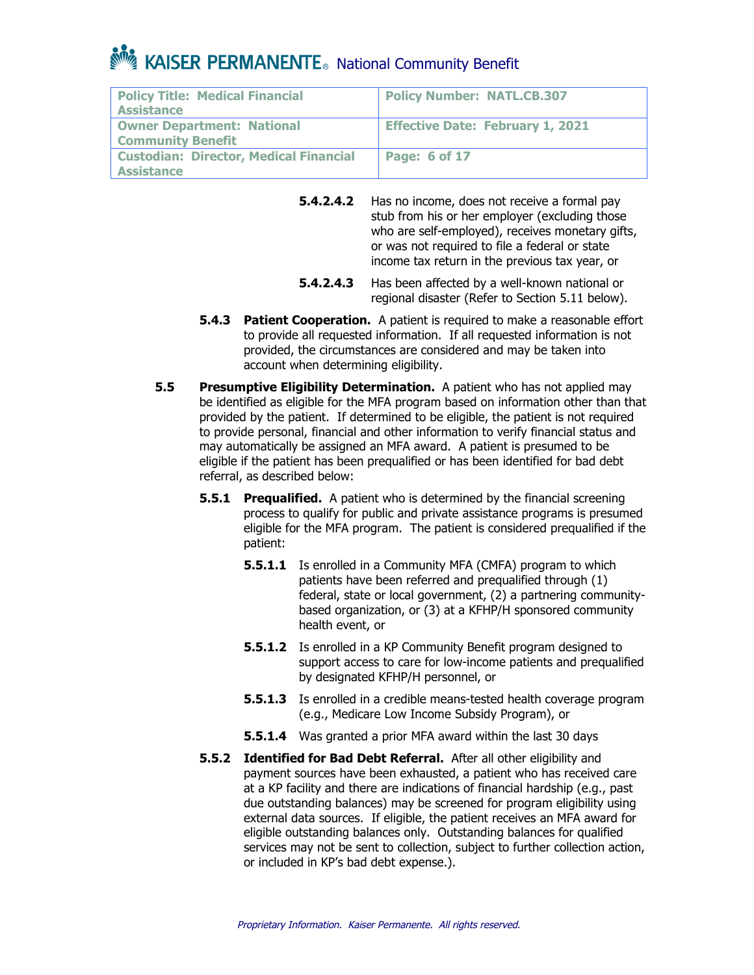| <b>Policy Title: Medical Financial</b><br><b>Assistance</b>   | <b>Policy Number: NATL.CB.307</b>       |
|---------------------------------------------------------------|-----------------------------------------|
| <b>Owner Department: National</b><br><b>Community Benefit</b> | <b>Effective Date: February 1, 2021</b> |
| <b>Custodian: Director, Medical Financial</b><br>Assistance   | <b>Page: 6 of 17</b>                    |

**5.4.2.4.2** Has no income, does not receive a formal pay stub from his or her employer (excluding those who are self-employed), receives monetary gifts, or was not required to file a federal or state income tax return in the previous tax year, or

- **5.4.2.4.3** Has been affected by a well-known national or regional disaster (Refer to Section 5.11 below).
- **5.4.3 Patient Cooperation.** A patient is required to make a reasonable effort to provide all requested information. If all requested information is not provided, the circumstances are considered and may be taken into account when determining eligibility.
- **5.5 Presumptive Eligibility Determination.** A patient who has not applied may be identified as eligible for the MFA program based on information other than that provided by the patient. If determined to be eligible, the patient is not required to provide personal, financial and other information to verify financial status and may automatically be assigned an MFA award. A patient is presumed to be eligible if the patient has been prequalified or has been identified for bad debt referral, as described below:
	- **5.5.1 Prequalified.** A patient who is determined by the financial screening process to qualify for public and private assistance programs is presumed eligible for the MFA program. The patient is considered prequalified if the patient:
		- **5.5.1.1** Is enrolled in a Community MFA (CMFA) program to which patients have been referred and prequalified through (1) federal, state or local government, (2) a partnering communitybased organization, or (3) at a KFHP/H sponsored community health event, or
		- **5.5.1.2** Is enrolled in a KP Community Benefit program designed to support access to care for low-income patients and prequalified by designated KFHP/H personnel, or
		- **5.5.1.3** Is enrolled in a credible means-tested health coverage program (e.g., Medicare Low Income Subsidy Program), or
		- **5.5.1.4** Was granted a prior MFA award within the last 30 days
	- **5.5.2 Identified for Bad Debt Referral.** After all other eligibility and payment sources have been exhausted, a patient who has received care at a KP facility and there are indications of financial hardship (e.g., past due outstanding balances) may be screened for program eligibility using external data sources. If eligible, the patient receives an MFA award for eligible outstanding balances only. Outstanding balances for qualified services may not be sent to collection, subject to further collection action, or included in KP's bad debt expense.).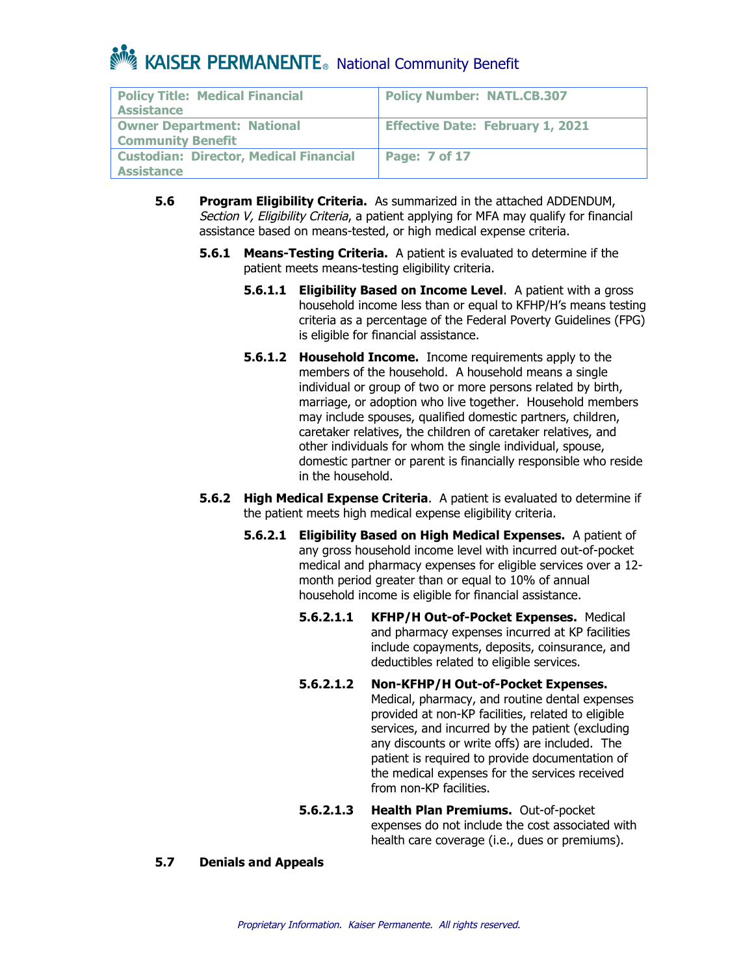| <b>Policy Title: Medical Financial</b><br><b>Assistance</b>        | <b>Policy Number: NATL.CB.307</b>       |
|--------------------------------------------------------------------|-----------------------------------------|
| <b>Owner Department: National</b><br><b>Community Benefit</b>      | <b>Effective Date: February 1, 2021</b> |
| <b>Custodian: Director, Medical Financial</b><br><b>Assistance</b> | <b>Page: 7 of 17</b>                    |

- **5.6 Program Eligibility Criteria.** As summarized in the attached ADDENDUM, Section V, Eligibility Criteria, a patient applying for MFA may qualify for financial assistance based on means-tested, or high medical expense criteria.
	- **5.6.1 Means-Testing Criteria.** A patient is evaluated to determine if the patient meets means-testing eligibility criteria.
		- **5.6.1.1 Eligibility Based on Income Level**. A patient with a gross household income less than or equal to KFHP/H's means testing criteria as a percentage of the Federal Poverty Guidelines (FPG) is eligible for financial assistance.
		- **5.6.1.2 Household Income.** Income requirements apply to the members of the household. A household means a single individual or group of two or more persons related by birth, marriage, or adoption who live together. Household members may include spouses, qualified domestic partners, children, caretaker relatives, the children of caretaker relatives, and other individuals for whom the single individual, spouse, domestic partner or parent is financially responsible who reside in the household.
	- **5.6.2 High Medical Expense Criteria**. A patient is evaluated to determine if the patient meets high medical expense eligibility criteria.
		- **5.6.2.1 Eligibility Based on High Medical Expenses.** A patient of any gross household income level with incurred out-of-pocket medical and pharmacy expenses for eligible services over a 12 month period greater than or equal to 10% of annual household income is eligible for financial assistance.
			- **5.6.2.1.1 KFHP/H Out-of-Pocket Expenses.** Medical and pharmacy expenses incurred at KP facilities include copayments, deposits, coinsurance, and deductibles related to eligible services.
			- **5.6.2.1.2 Non-KFHP/H Out-of-Pocket Expenses.** Medical, pharmacy, and routine dental expenses provided at non-KP facilities, related to eligible services, and incurred by the patient (excluding any discounts or write offs) are included. The patient is required to provide documentation of the medical expenses for the services received from non-KP facilities.
			- **5.6.2.1.3 Health Plan Premiums.** Out-of-pocket expenses do not include the cost associated with health care coverage (i.e., dues or premiums).

### **5.7 Denials and Appeals**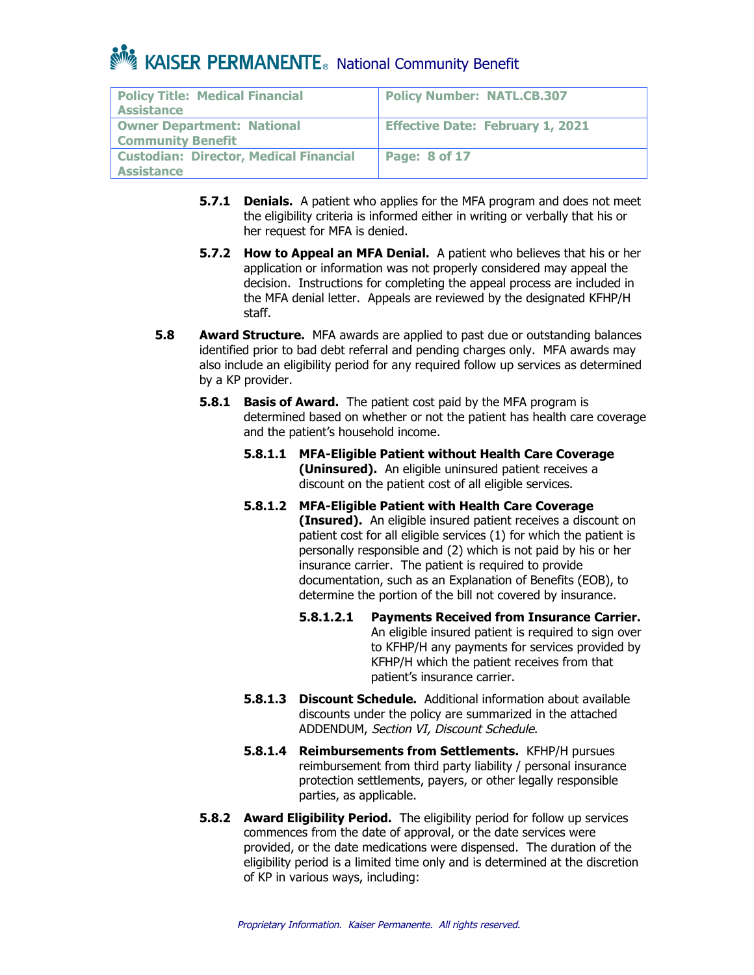| <b>Policy Title: Medical Financial</b><br><b>Assistance</b>        | <b>Policy Number: NATL.CB.307</b>       |
|--------------------------------------------------------------------|-----------------------------------------|
| <b>Owner Department: National</b><br><b>Community Benefit</b>      | <b>Effective Date: February 1, 2021</b> |
| <b>Custodian: Director, Medical Financial</b><br><b>Assistance</b> | <b>Page: 8 of 17</b>                    |

- **5.7.1 Denials.** A patient who applies for the MFA program and does not meet the eligibility criteria is informed either in writing or verbally that his or her request for MFA is denied.
- **5.7.2 How to Appeal an MFA Denial.** A patient who believes that his or her application or information was not properly considered may appeal the decision. Instructions for completing the appeal process are included in the MFA denial letter. Appeals are reviewed by the designated KFHP/H staff.
- **5.8 Award Structure.** MFA awards are applied to past due or outstanding balances identified prior to bad debt referral and pending charges only. MFA awards may also include an eligibility period for any required follow up services as determined by a KP provider.
	- **5.8.1 Basis of Award.** The patient cost paid by the MFA program is determined based on whether or not the patient has health care coverage and the patient's household income.
		- **5.8.1.1 MFA-Eligible Patient without Health Care Coverage (Uninsured).** An eligible uninsured patient receives a discount on the patient cost of all eligible services.
		- **5.8.1.2 MFA-Eligible Patient with Health Care Coverage (Insured).** An eligible insured patient receives a discount on patient cost for all eligible services (1) for which the patient is personally responsible and (2) which is not paid by his or her insurance carrier. The patient is required to provide documentation, such as an Explanation of Benefits (EOB), to determine the portion of the bill not covered by insurance.
			- **5.8.1.2.1 Payments Received from Insurance Carrier.** An eligible insured patient is required to sign over to KFHP/H any payments for services provided by KFHP/H which the patient receives from that patient's insurance carrier.
		- **5.8.1.3 Discount Schedule.** Additional information about available discounts under the policy are summarized in the attached ADDENDUM, Section VI, Discount Schedule.
		- **5.8.1.4 Reimbursements from Settlements.** KFHP/H pursues reimbursement from third party liability / personal insurance protection settlements, payers, or other legally responsible parties, as applicable.
	- **5.8.2 Award Eligibility Period.** The eligibility period for follow up services commences from the date of approval, or the date services were provided, or the date medications were dispensed. The duration of the eligibility period is a limited time only and is determined at the discretion of KP in various ways, including: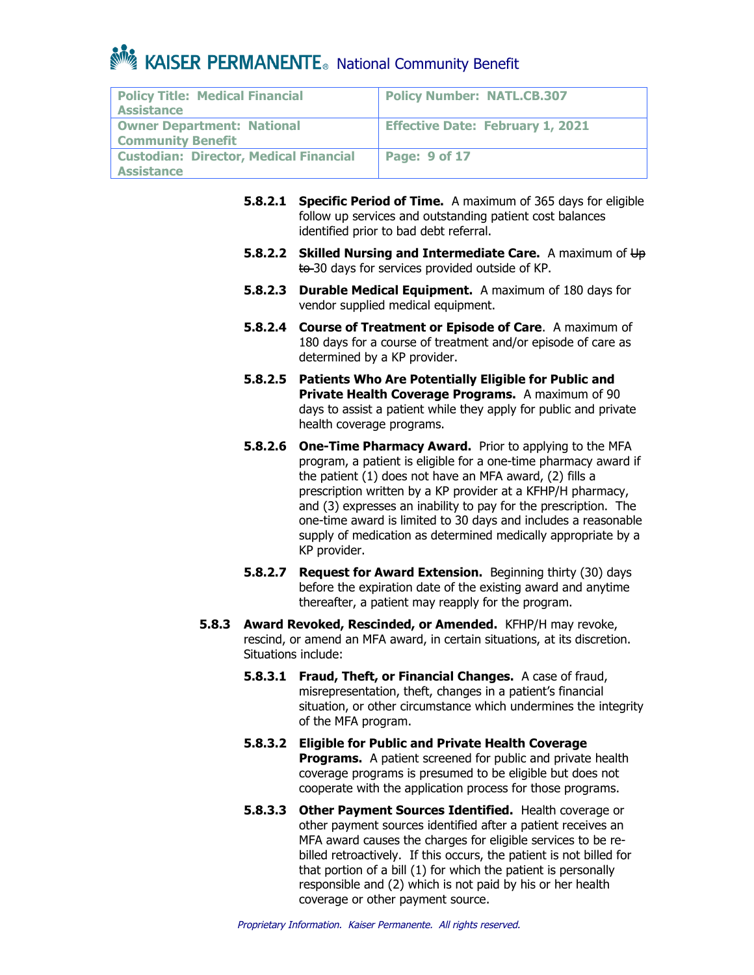| <b>Policy Title: Medical Financial</b><br>Assistance               | <b>Policy Number: NATL.CB.307</b>       |
|--------------------------------------------------------------------|-----------------------------------------|
| <b>Owner Department: National</b><br><b>Community Benefit</b>      | <b>Effective Date: February 1, 2021</b> |
| <b>Custodian: Director, Medical Financial</b><br><b>Assistance</b> | <b>Page: 9 of 17</b>                    |

- **5.8.2.1 Specific Period of Time.** A maximum of 365 days for eligible follow up services and outstanding patient cost balances identified prior to bad debt referral.
- **5.8.2.2 Skilled Nursing and Intermediate Care.** A maximum of Up to 30 days for services provided outside of KP.
- **5.8.2.3 Durable Medical Equipment.** A maximum of 180 days for vendor supplied medical equipment.
- **5.8.2.4 Course of Treatment or Episode of Care**. A maximum of 180 days for a course of treatment and/or episode of care as determined by a KP provider.
- **5.8.2.5 Patients Who Are Potentially Eligible for Public and Private Health Coverage Programs.** A maximum of 90 days to assist a patient while they apply for public and private health coverage programs.
- **5.8.2.6 One-Time Pharmacy Award.** Prior to applying to the MFA program, a patient is eligible for a one-time pharmacy award if the patient (1) does not have an MFA award, (2) fills a prescription written by a KP provider at a KFHP/H pharmacy, and (3) expresses an inability to pay for the prescription. The one-time award is limited to 30 days and includes a reasonable supply of medication as determined medically appropriate by a KP provider.
- **5.8.2.7 Request for Award Extension.** Beginning thirty (30) days before the expiration date of the existing award and anytime thereafter, a patient may reapply for the program.
- **5.8.3 Award Revoked, Rescinded, or Amended.** KFHP/H may revoke, rescind, or amend an MFA award, in certain situations, at its discretion. Situations include:
	- **5.8.3.1 Fraud, Theft, or Financial Changes.** A case of fraud, misrepresentation, theft, changes in a patient's financial situation, or other circumstance which undermines the integrity of the MFA program.
	- **5.8.3.2 Eligible for Public and Private Health Coverage Programs.** A patient screened for public and private health coverage programs is presumed to be eligible but does not cooperate with the application process for those programs.
	- **5.8.3.3 Other Payment Sources Identified.** Health coverage or other payment sources identified after a patient receives an MFA award causes the charges for eligible services to be rebilled retroactively. If this occurs, the patient is not billed for that portion of a bill (1) for which the patient is personally responsible and (2) which is not paid by his or her health coverage or other payment source.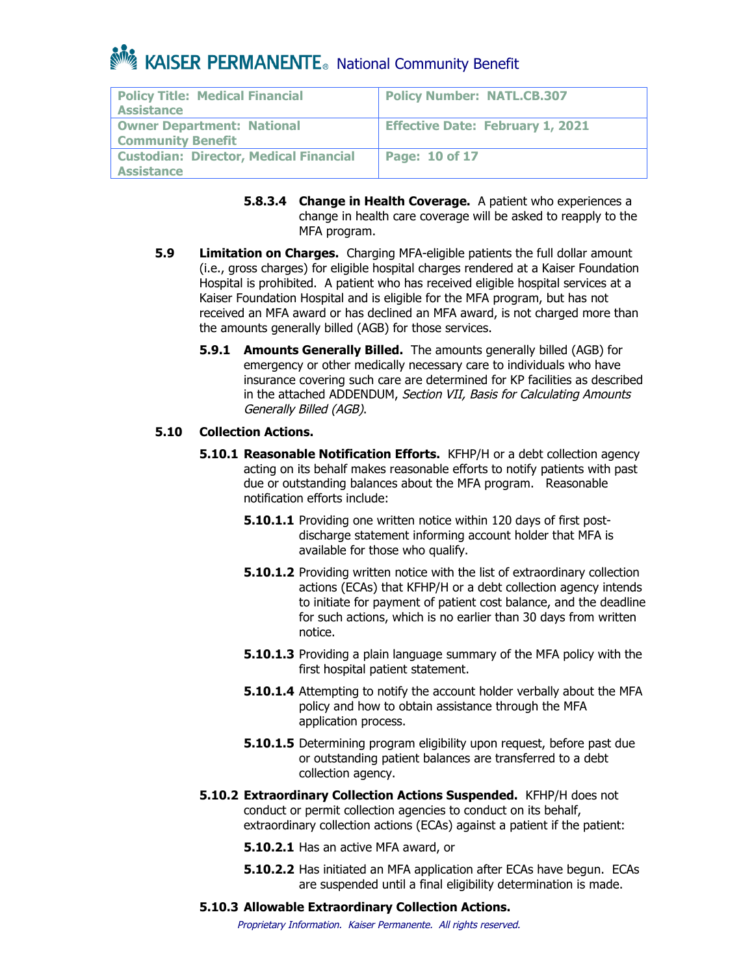| <b>Policy Title: Medical Financial</b><br><b>Assistance</b>   | <b>Policy Number: NATL.CB.307</b>       |
|---------------------------------------------------------------|-----------------------------------------|
| <b>Owner Department: National</b><br><b>Community Benefit</b> | <b>Effective Date: February 1, 2021</b> |
| <b>Custodian: Director, Medical Financial</b><br>Assistance   | Page: $10$ of 17                        |

- **5.8.3.4 Change in Health Coverage.** A patient who experiences a change in health care coverage will be asked to reapply to the MFA program.
- **5.9 Limitation on Charges.** Charging MFA-eligible patients the full dollar amount (i.e., gross charges) for eligible hospital charges rendered at a Kaiser Foundation Hospital is prohibited. A patient who has received eligible hospital services at a Kaiser Foundation Hospital and is eligible for the MFA program, but has not received an MFA award or has declined an MFA award, is not charged more than the amounts generally billed (AGB) for those services.
	- **5.9.1 Amounts Generally Billed.** The amounts generally billed (AGB) for emergency or other medically necessary care to individuals who have insurance covering such care are determined for KP facilities as described in the attached ADDENDUM, Section VII, Basis for Calculating Amounts Generally Billed (AGB).

### **5.10 Collection Actions.**

- **5.10.1 Reasonable Notification Efforts.** KFHP/H or a debt collection agency acting on its behalf makes reasonable efforts to notify patients with past due or outstanding balances about the MFA program. Reasonable notification efforts include:
	- **5.10.1.1** Providing one written notice within 120 days of first postdischarge statement informing account holder that MFA is available for those who qualify.
	- **5.10.1.2** Providing written notice with the list of extraordinary collection actions (ECAs) that KFHP/H or a debt collection agency intends to initiate for payment of patient cost balance, and the deadline for such actions, which is no earlier than 30 days from written notice.
	- **5.10.1.3** Providing a plain language summary of the MFA policy with the first hospital patient statement.
	- **5.10.1.4** Attempting to notify the account holder verbally about the MFA policy and how to obtain assistance through the MFA application process.
	- **5.10.1.5** Determining program eligibility upon request, before past due or outstanding patient balances are transferred to a debt collection agency.
- **5.10.2 Extraordinary Collection Actions Suspended.** KFHP/H does not conduct or permit collection agencies to conduct on its behalf, extraordinary collection actions (ECAs) against a patient if the patient:

**5.10.2.1** Has an active MFA award, or

- **5.10.2.2** Has initiated an MFA application after ECAs have begun. ECAs are suspended until a final eligibility determination is made.
- **5.10.3 Allowable Extraordinary Collection Actions.**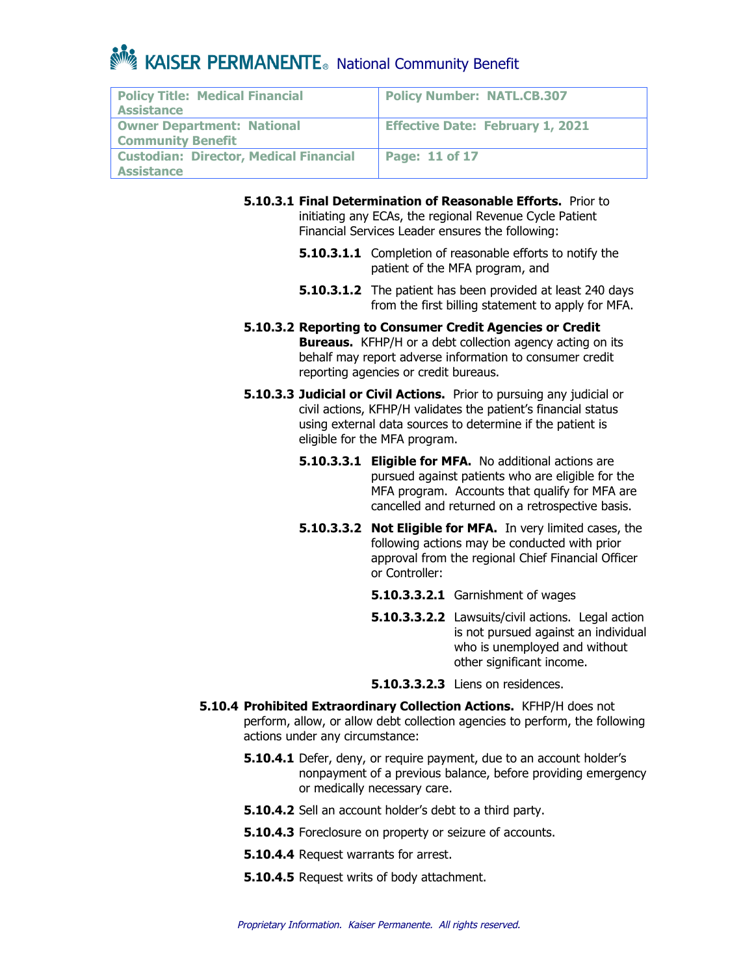| <b>Policy Title: Medical Financial</b><br>Assistance               | <b>Policy Number: NATL.CB.307</b>       |
|--------------------------------------------------------------------|-----------------------------------------|
| <b>Owner Department: National</b><br><b>Community Benefit</b>      | <b>Effective Date: February 1, 2021</b> |
| <b>Custodian: Director, Medical Financial</b><br><b>Assistance</b> | Page: 11 of 17                          |

**5.10.3.1 Final Determination of Reasonable Efforts.** Prior to initiating any ECAs, the regional Revenue Cycle Patient Financial Services Leader ensures the following:

- **5.10.3.1.1** Completion of reasonable efforts to notify the patient of the MFA program, and
- **5.10.3.1.2** The patient has been provided at least 240 days from the first billing statement to apply for MFA.
- **5.10.3.2 Reporting to Consumer Credit Agencies or Credit Bureaus.** KFHP/H or a debt collection agency acting on its behalf may report adverse information to consumer credit reporting agencies or credit bureaus.
- **5.10.3.3 Judicial or Civil Actions.** Prior to pursuing any judicial or civil actions, KFHP/H validates the patient's financial status using external data sources to determine if the patient is eligible for the MFA program.
	- **5.10.3.3.1 Eligible for MFA.** No additional actions are pursued against patients who are eligible for the MFA program. Accounts that qualify for MFA are cancelled and returned on a retrospective basis.
	- **5.10.3.3.2 Not Eligible for MFA.** In very limited cases, the following actions may be conducted with prior approval from the regional Chief Financial Officer or Controller:
		- **5.10.3.3.2.1** Garnishment of wages
		- **5.10.3.3.2.2** Lawsuits/civil actions. Legal action is not pursued against an individual who is unemployed and without other significant income.
		- **5.10.3.3.2.3** Liens on residences.
- **5.10.4 Prohibited Extraordinary Collection Actions.** KFHP/H does not perform, allow, or allow debt collection agencies to perform, the following actions under any circumstance:
	- **5.10.4.1** Defer, deny, or require payment, due to an account holder's nonpayment of a previous balance, before providing emergency or medically necessary care.
	- **5.10.4.2** Sell an account holder's debt to a third party.
	- **5.10.4.3** Foreclosure on property or seizure of accounts.
	- **5.10.4.4** Request warrants for arrest.
	- **5.10.4.5** Request writs of body attachment.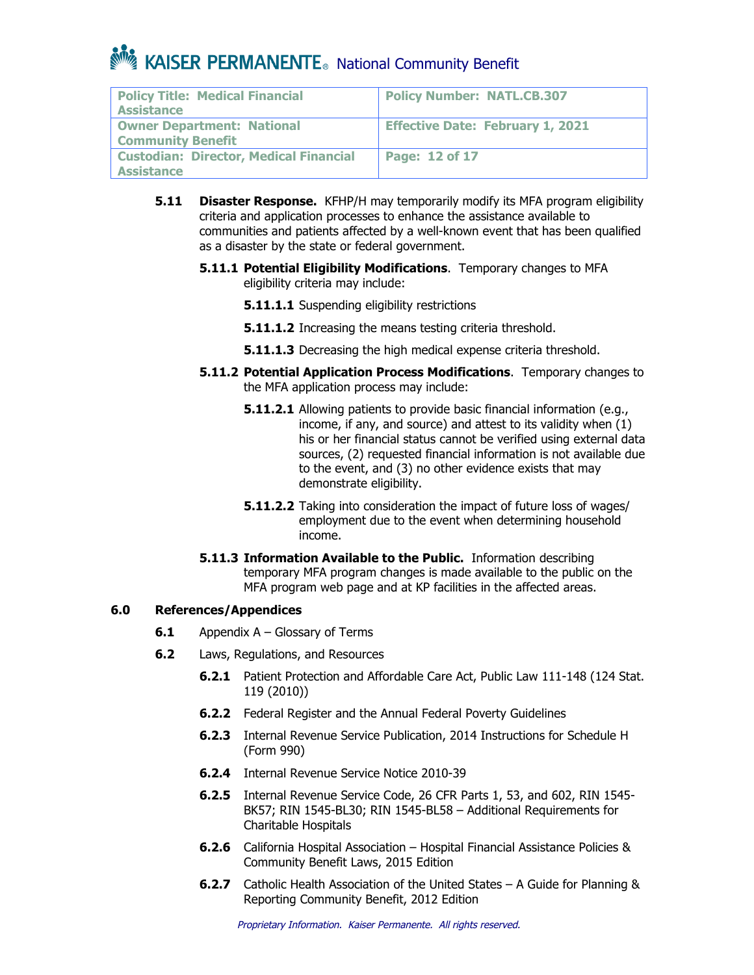| <b>Policy Title: Medical Financial</b><br>Assistance               | <b>Policy Number: NATL.CB.307</b>       |
|--------------------------------------------------------------------|-----------------------------------------|
| <b>Owner Department: National</b><br><b>Community Benefit</b>      | <b>Effective Date: February 1, 2021</b> |
| <b>Custodian: Director, Medical Financial</b><br><b>Assistance</b> | <b>Page: 12 of 17</b>                   |

- **5.11 Disaster Response.** KFHP/H may temporarily modify its MFA program eligibility criteria and application processes to enhance the assistance available to communities and patients affected by a well-known event that has been qualified as a disaster by the state or federal government.
	- **5.11.1 Potential Eligibility Modifications**. Temporary changes to MFA eligibility criteria may include:
		- **5.11.1.1** Suspending eligibility restrictions
		- **5.11.1.2** Increasing the means testing criteria threshold.
		- **5.11.1.3** Decreasing the high medical expense criteria threshold.
	- **5.11.2 Potential Application Process Modifications**. Temporary changes to the MFA application process may include:
		- **5.11.2.1** Allowing patients to provide basic financial information (e.g., income, if any, and source) and attest to its validity when (1) his or her financial status cannot be verified using external data sources, (2) requested financial information is not available due to the event, and (3) no other evidence exists that may demonstrate eligibility.
		- **5.11.2.2** Taking into consideration the impact of future loss of wages/ employment due to the event when determining household income.
	- **5.11.3 Information Available to the Public.** Information describing temporary MFA program changes is made available to the public on the MFA program web page and at KP facilities in the affected areas.

### **6.0 References/Appendices**

- **6.1** Appendix A Glossary of Terms
- **6.2** Laws, Regulations, and Resources
	- **6.2.1** Patient Protection and Affordable Care Act, Public Law 111-148 (124 Stat. 119 (2010))
	- **6.2.2** Federal Register and the Annual Federal Poverty Guidelines
	- **6.2.3** Internal Revenue Service Publication, 2014 Instructions for Schedule H (Form 990)
	- **6.2.4** Internal Revenue Service Notice 2010-39
	- **6.2.5** Internal Revenue Service Code, 26 CFR Parts 1, 53, and 602, RIN 1545- BK57; RIN 1545-BL30; RIN 1545-BL58 – Additional Requirements for Charitable Hospitals
	- **6.2.6** California Hospital Association Hospital Financial Assistance Policies & Community Benefit Laws, 2015 Edition
	- **6.2.7** Catholic Health Association of the United States A Guide for Planning & Reporting Community Benefit, 2012 Edition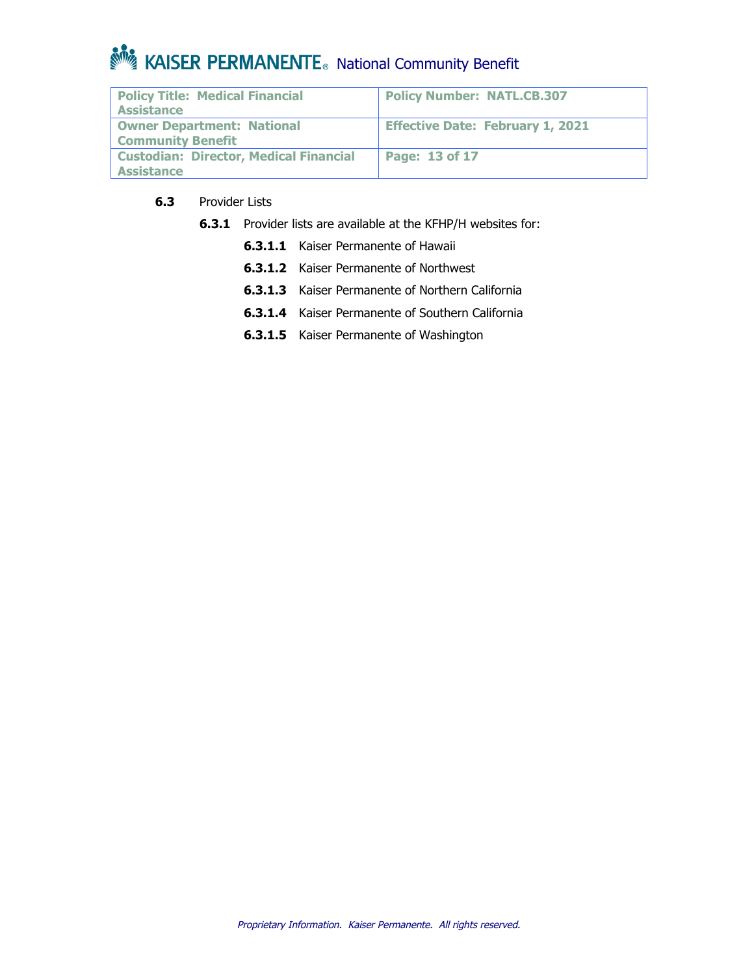| <b>Policy Title: Medical Financial</b><br>Assistance               | <b>Policy Number: NATL.CB.307</b>       |
|--------------------------------------------------------------------|-----------------------------------------|
| <b>Owner Department: National</b><br><b>Community Benefit</b>      | <b>Effective Date: February 1, 2021</b> |
| <b>Custodian: Director, Medical Financial</b><br><b>Assistance</b> | Page: 13 of 17                          |

### **6.3** Provider Lists

- **6.3.1** Provider lists are available at the KFHP/H websites for:
	- **6.3.1.1** Kaiser Permanente of Hawaii
	- **6.3.1.2** Kaiser Permanente of Northwest
	- **6.3.1.3** Kaiser Permanente of Northern California
	- **6.3.1.4** Kaiser Permanente of Southern California
	- **6.3.1.5** Kaiser Permanente of Washington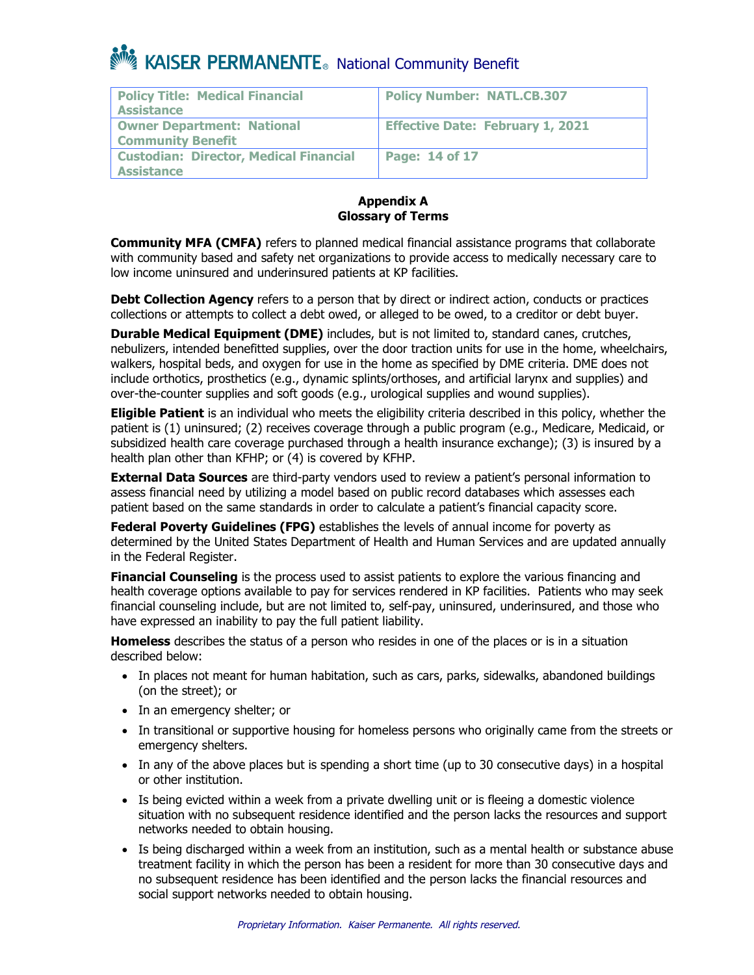| <b>Policy Title: Medical Financial</b><br><b>Assistance</b>        | <b>Policy Number: NATL.CB.307</b>       |
|--------------------------------------------------------------------|-----------------------------------------|
| <b>Owner Department: National</b><br><b>Community Benefit</b>      | <b>Effective Date: February 1, 2021</b> |
| <b>Custodian: Director, Medical Financial</b><br><b>Assistance</b> | Page: 14 of 17                          |

#### **Appendix A Glossary of Terms**

**Community MFA (CMFA)** refers to planned medical financial assistance programs that collaborate with community based and safety net organizations to provide access to medically necessary care to low income uninsured and underinsured patients at KP facilities.

**Debt Collection Agency** refers to a person that by direct or indirect action, conducts or practices collections or attempts to collect a debt owed, or alleged to be owed, to a creditor or debt buyer.

**Durable Medical Equipment (DME)** includes, but is not limited to, standard canes, crutches, nebulizers, intended benefitted supplies, over the door traction units for use in the home, wheelchairs, walkers, hospital beds, and oxygen for use in the home as specified by DME criteria. DME does not include orthotics, prosthetics (e.g., dynamic splints/orthoses, and artificial larynx and supplies) and over-the-counter supplies and soft goods (e.g., urological supplies and wound supplies).

**Eligible Patient** is an individual who meets the eligibility criteria described in this policy, whether the patient is (1) uninsured; (2) receives coverage through a public program (e.g., Medicare, Medicaid, or subsidized health care coverage purchased through a health insurance exchange); (3) is insured by a health plan other than KFHP; or (4) is covered by KFHP.

**External Data Sources** are third-party vendors used to review a patient's personal information to assess financial need by utilizing a model based on public record databases which assesses each patient based on the same standards in order to calculate a patient's financial capacity score.

**Federal Poverty Guidelines (FPG)** establishes the levels of annual income for poverty as determined by the United States Department of Health and Human Services and are updated annually in the Federal Register.

**Financial Counseling** is the process used to assist patients to explore the various financing and health coverage options available to pay for services rendered in KP facilities. Patients who may seek financial counseling include, but are not limited to, self-pay, uninsured, underinsured, and those who have expressed an inability to pay the full patient liability.

**Homeless** describes the status of a person who resides in one of the places or is in a situation described below:

- In places not meant for human habitation, such as cars, parks, sidewalks, abandoned buildings (on the street); or
- In an emergency shelter; or
- In transitional or supportive housing for homeless persons who originally came from the streets or emergency shelters.
- In any of the above places but is spending a short time (up to 30 consecutive days) in a hospital or other institution.
- Is being evicted within a week from a private dwelling unit or is fleeing a domestic violence situation with no subsequent residence identified and the person lacks the resources and support networks needed to obtain housing.
- Is being discharged within a week from an institution, such as a mental health or substance abuse treatment facility in which the person has been a resident for more than 30 consecutive days and no subsequent residence has been identified and the person lacks the financial resources and social support networks needed to obtain housing.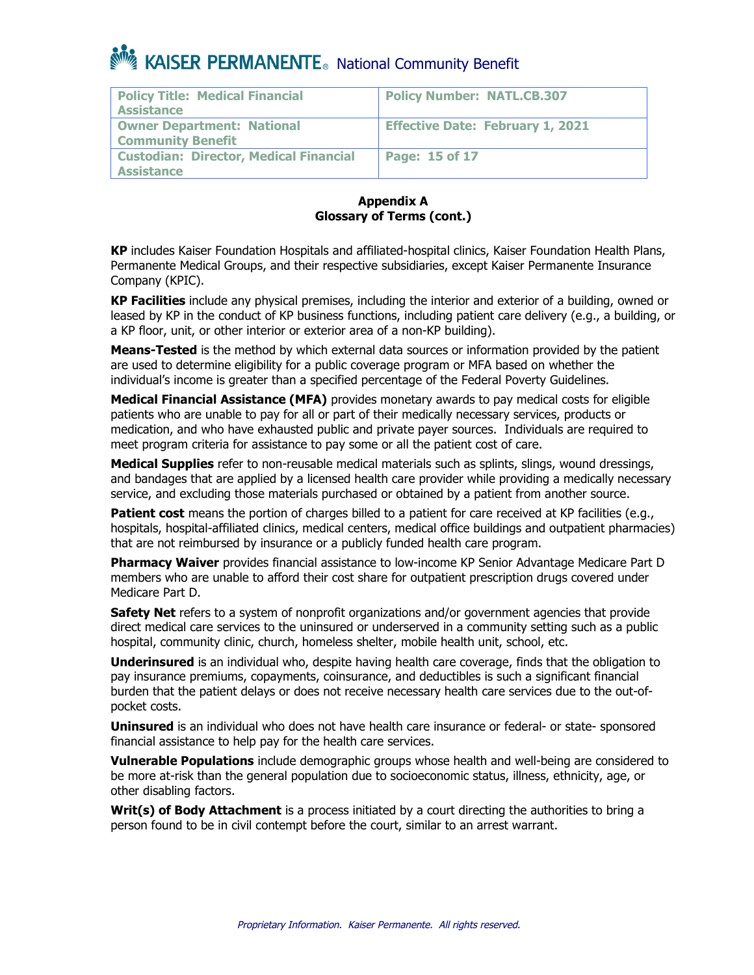| <b>Policy Title: Medical Financial</b><br><b>Assistance</b>        | <b>Policy Number: NATL.CB.307</b>       |
|--------------------------------------------------------------------|-----------------------------------------|
| <b>Owner Department: National</b><br><b>Community Benefit</b>      | <b>Effective Date: February 1, 2021</b> |
| <b>Custodian: Director, Medical Financial</b><br><b>Assistance</b> | <b>Page: 15 of 17</b>                   |

#### **Appendix A Glossary of Terms (cont.)**

**KP** includes Kaiser Foundation Hospitals and affiliated-hospital clinics, Kaiser Foundation Health Plans, Permanente Medical Groups, and their respective subsidiaries, except Kaiser Permanente Insurance Company (KPIC).

**KP Facilities** include any physical premises, including the interior and exterior of a building, owned or leased by KP in the conduct of KP business functions, including patient care delivery (e.g., a building, or a KP floor, unit, or other interior or exterior area of a non-KP building).

**Means-Tested** is the method by which external data sources or information provided by the patient are used to determine eligibility for a public coverage program or MFA based on whether the individual's income is greater than a specified percentage of the Federal Poverty Guidelines.

**Medical Financial Assistance (MFA)** provides monetary awards to pay medical costs for eligible patients who are unable to pay for all or part of their medically necessary services, products or medication, and who have exhausted public and private payer sources. Individuals are required to meet program criteria for assistance to pay some or all the patient cost of care.

**Medical Supplies** refer to non-reusable medical materials such as splints, slings, wound dressings, and bandages that are applied by a licensed health care provider while providing a medically necessary service, and excluding those materials purchased or obtained by a patient from another source.

**Patient cost** means the portion of charges billed to a patient for care received at KP facilities (e.g., hospitals, hospital-affiliated clinics, medical centers, medical office buildings and outpatient pharmacies) that are not reimbursed by insurance or a publicly funded health care program.

**Pharmacy Waiver** provides financial assistance to low-income KP Senior Advantage Medicare Part D members who are unable to afford their cost share for outpatient prescription drugs covered under Medicare Part D.

**Safety Net** refers to a system of nonprofit organizations and/or government agencies that provide direct medical care services to the uninsured or underserved in a community setting such as a public hospital, community clinic, church, homeless shelter, mobile health unit, school, etc.

**Underinsured** is an individual who, despite having health care coverage, finds that the obligation to pay insurance premiums, copayments, coinsurance, and deductibles is such a significant financial burden that the patient delays or does not receive necessary health care services due to the out-ofpocket costs.

**Uninsured** is an individual who does not have health care insurance or federal- or state- sponsored financial assistance to help pay for the health care services.

**Vulnerable Populations** include demographic groups whose health and well-being are considered to be more at-risk than the general population due to socioeconomic status, illness, ethnicity, age, or other disabling factors.

**Writ(s) of Body Attachment** is a process initiated by a court directing the authorities to bring a person found to be in civil contempt before the court, similar to an arrest warrant.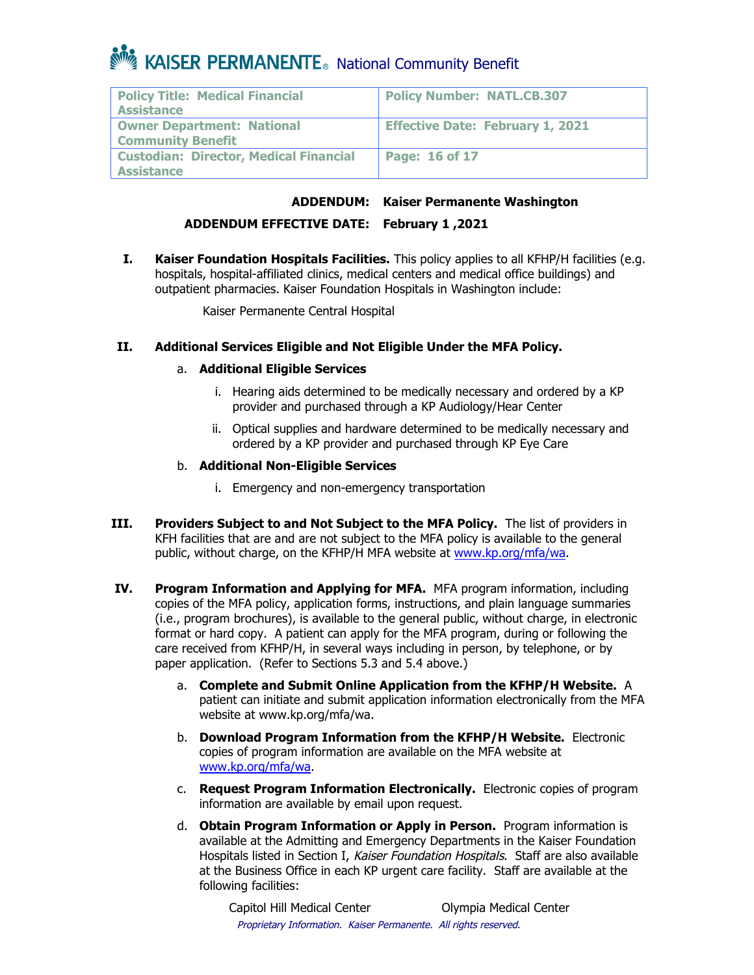| <b>Policy Title: Medical Financial</b><br><b>Assistance</b>   | <b>Policy Number: NATL.CB.307</b>       |
|---------------------------------------------------------------|-----------------------------------------|
| <b>Owner Department: National</b><br><b>Community Benefit</b> | <b>Effective Date: February 1, 2021</b> |
| <b>Custodian: Director, Medical Financial</b><br>Assistance   | Page: $16$ of 17                        |

### **ADDENDUM: Kaiser Permanente Washington**

### **ADDENDUM EFFECTIVE DATE: February 1 ,2021**

**I. Kaiser Foundation Hospitals Facilities.** This policy applies to all KFHP/H facilities (e.g. hospitals, hospital-affiliated clinics, medical centers and medical office buildings) and outpatient pharmacies. Kaiser Foundation Hospitals in Washington include:

Kaiser Permanente Central Hospital

### **II. Additional Services Eligible and Not Eligible Under the MFA Policy.**

### a. **Additional Eligible Services**

- i. Hearing aids determined to be medically necessary and ordered by a KP provider and purchased through a KP Audiology/Hear Center
- ii. Optical supplies and hardware determined to be medically necessary and ordered by a KP provider and purchased through KP Eye Care

#### b. **Additional Non-Eligible Services**

- i. Emergency and non-emergency transportation
- **III. Providers Subject to and Not Subject to the MFA Policy.** The list of providers in KFH facilities that are and are not subject to the MFA policy is available to the general public, without charge, on the KFHP/H MFA website at www.kp.org/mfa/wa.
- **IV. Program Information and Applying for MFA.** MFA program information, including copies of the MFA policy, application forms, instructions, and plain language summaries (i.e., program brochures), is available to the general public, without charge, in electronic format or hard copy. A patient can apply for the MFA program, during or following the care received from KFHP/H, in several ways including in person, by telephone, or by paper application. (Refer to Sections 5.3 and 5.4 above.)
	- a. **Complete and Submit Online Application from the KFHP/H Website.** A patient can initiate and submit application information electronically from the MFA website at www.kp.org/mfa/wa.
	- b. **Download Program Information from the KFHP/H Website.** Electronic copies of program information are available on the MFA website at www.kp.org/mfa/wa.
	- c. **Request Program Information Electronically.** Electronic copies of program information are available by email upon request.
	- d. **Obtain Program Information or Apply in Person.** Program information is available at the Admitting and Emergency Departments in the Kaiser Foundation Hospitals listed in Section I, Kaiser Foundation Hospitals. Staff are also available at the Business Office in each KP urgent care facility. Staff are available at the following facilities: